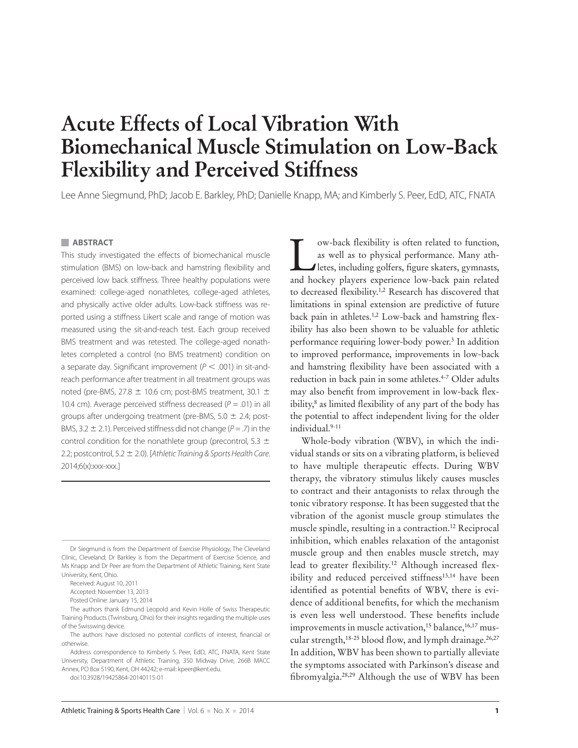# **Acute Effects of Local Vibration With Biomechanical Muscle Stimulation on Low-Back Flexibility and Perceived Stiffness**

Lee Anne Siegmund, PhD; Jacob E. Barkley, PhD; Danielle Knapp, MA; and Kimberly S. Peer, EdD, ATC, FNATA

#### **ABSTRACT**

This study investigated the effects of biomechanical muscle stimulation (BMS) on low-back and hamstring flexibility and perceived low back stiffness. Three healthy populations were examined: college-aged nonathletes, college-aged athletes, and physically active older adults. Low-back stiffness was reported using a stiffness Likert scale and range of motion was measured using the sit-and-reach test. Each group received BMS treatment and was retested. The college-aged nonathletes completed a control (no BMS treatment) condition on a separate day. Significant improvement ( $P < .001$ ) in sit-andreach performance after treatment in all treatment groups was noted (pre-BMS, 27.8  $\pm$  10.6 cm; post-BMS treatment, 30.1  $\pm$ 10.4 cm). Average perceived stiffness decreased ( $P = .01$ ) in all groups after undergoing treatment (pre-BMS,  $5.0 \pm 2.4$ ; post-BMS, 3.2  $\pm$  2.1). Perceived stiffness did not change (P = .7) in the control condition for the nonathlete group (precontrol, 5.3  $\pm$ 2.2; postcontrol, 5.2  $\pm$  2.0). [Athletic Training & Sports Health Care. 2014;6(x):xxx-xxx.]

Dr Siegmund is from the Department of Exercise Physiology, The Cleveland Clinic, Cleveland; Dr Barkley is from the Department of Exercise Science, and Ms Knapp and Dr Peer are from the Department of Athletic Training, Kent State University, Kent, Ohio.

Received: August 10, 2011

Accepted: November 13, 2013

Posted Online: January 15, 2014

The authors thank Edmund Leopold and Kevin Holle of Swiss Therapeutic Training Products (Twinsburg, Ohio) for their insights regarding the multiple uses of the Swisswing device.

The authors have disclosed no potential conflicts of interest, financial or otherwise.

Address correspondence to Kimberly S. Peer, EdD, ATC, FNATA, Kent State University, Department of Athletic Training, 350 Midway Drive, 266B MACC Annex, PO Box 5190, Kent, OH 44242; e-mail: kpeer@kent.edu.

doi:10.3928/19425864-20140115-01

I ow-back flexibility is often related to function,<br>as well as to physical performance. Many ath-<br>letes, including golfers, figure skaters, gymnasts,<br>and hockey players experience low-back pain related as well as to physical performance. Many athletes, including golfers, figure skaters, gymnasts, and hockey players experience low-back pain related to decreased flexibility.<sup>1,2</sup> Research has discovered that limitations in spinal extension are predictive of future back pain in athletes.<sup>1,2</sup> Low-back and hamstring flexibility has also been shown to be valuable for athletic performance requiring lower-body power.<sup>3</sup> In addition to improved performance, improvements in low-back and hamstring flexibility have been associated with a reduction in back pain in some athletes.<sup>4-7</sup> Older adults may also benefit from improvement in low-back flexibility,<sup>8</sup> as limited flexibility of any part of the body has the potential to affect independent living for the older individual.9-11

Whole-body vibration (WBV), in which the individual stands or sits on a vibrating platform, is believed to have multiple therapeutic effects. During WBV therapy, the vibratory stimulus likely causes muscles to contract and their antagonists to relax through the tonic vibratory response. It has been suggested that the vibration of the agonist muscle group stimulates the muscle spindle, resulting in a contraction.<sup>12</sup> Reciprocal inhibition, which enables relaxation of the antagonist muscle group and then enables muscle stretch, may lead to greater flexibility.<sup>12</sup> Although increased flexibility and reduced perceived stiffness<sup>13,14</sup> have been identified as potential benefits of WBV, there is evidence of additional benefits, for which the mechanism is even less well understood. These benefits include improvements in muscle activation,<sup>15</sup> balance,<sup>16,17</sup> muscular strength, $18-25$  blood flow, and lymph drainage. $26,27$ In addition, WBV has been shown to partially alleviate the symptoms associated with Parkinson's disease and fibromyalgia.<sup>28,29</sup> Although the use of WBV has been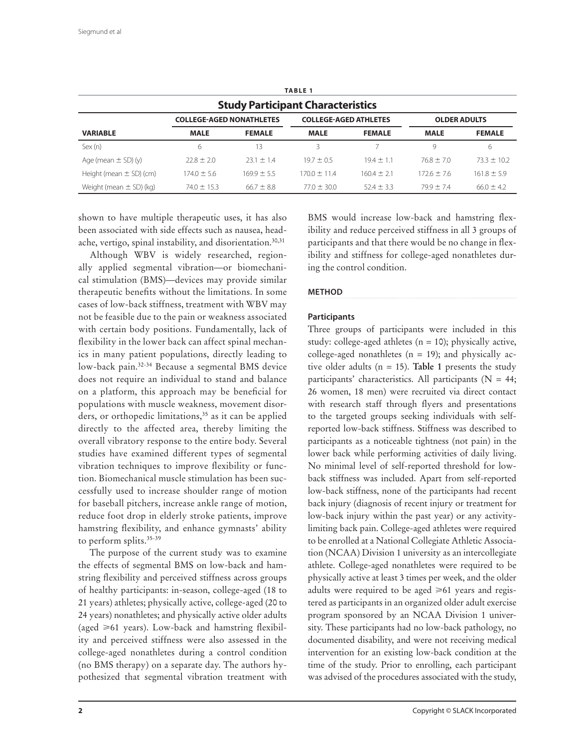| <b>TABLE 1</b><br><b>Study Participant Characteristics</b> |                 |                 |                 |                |                 |                 |  |  |
|------------------------------------------------------------|-----------------|-----------------|-----------------|----------------|-----------------|-----------------|--|--|
|                                                            |                 |                 |                 |                |                 |                 |  |  |
| <b>VARIABLE</b>                                            | <b>MALE</b>     | <b>FEMALE</b>   | <b>MALE</b>     | <b>FEMALE</b>  | <b>MALE</b>     | <b>FEMALE</b>   |  |  |
| Sex(n)                                                     | 6               | 13              | 3               |                | 9               | 6               |  |  |
| Age (mean $\pm$ SD) (y)                                    | $778 + 70$      | $23.1 \pm 1.4$  | $197 + 05$      | $194 + 11$     | $768 + 70$      | $733 + 102$     |  |  |
| Height (mean $\pm$ SD) (cm)                                | $174.0 \pm 5.6$ | $169.9 \pm 5.5$ | $1700 + 114$    | $1604 + 21$    | $172.6 \pm 7.6$ | $161.8 \pm 5.9$ |  |  |
| Weight (mean $\pm$ SD) (kg)                                | $74.0 \pm 15.3$ | $66.7 \pm 8.8$  | $77.0 \pm 30.0$ | $52.4 \pm 3.3$ | $799 + 74$      | $66.0 \pm 4.2$  |  |  |

shown to have multiple therapeutic uses, it has also been associated with side effects such as nausea, headache, vertigo, spinal instability, and disorientation.<sup>30,31</sup>

Although WBV is widely researched, regionally applied segmental vibration—or biomechanical stimulation (BMS)—devices may provide similar therapeutic benefits without the limitations. In some cases of low-back stiffness, treatment with WBV may not be feasible due to the pain or weakness associated with certain body positions. Fundamentally, lack of flexibility in the lower back can affect spinal mechanics in many patient populations, directly leading to low-back pain.32-34 Because a segmental BMS device does not require an individual to stand and balance on a platform, this approach may be beneficial for populations with muscle weakness, movement disorders, or orthopedic limitations,<sup>35</sup> as it can be applied directly to the affected area, thereby limiting the overall vibratory response to the entire body. Several studies have examined different types of segmental vibration techniques to improve flexibility or function. Biomechanical muscle stimulation has been successfully used to increase shoulder range of motion for baseball pitchers, increase ankle range of motion, reduce foot drop in elderly stroke patients, improve hamstring flexibility, and enhance gymnasts' ability to perform splits.<sup>35-39</sup>

The purpose of the current study was to examine the effects of segmental BMS on low-back and hamstring flexibility and perceived stiffness across groups of healthy participants: in-season, college-aged (18 to 21 years) athletes; physically active, college-aged (20 to 24 years) nonathletes; and physically active older adults (aged  $\geq 61$  years). Low-back and hamstring flexibility and perceived stiffness were also assessed in the college-aged nonathletes during a control condition (no BMS therapy) on a separate day. The authors hypothesized that segmental vibration treatment with

BMS would increase low-back and hamstring flexibility and reduce perceived stiffness in all 3 groups of participants and that there would be no change in flexibility and stiffness for college-aged nonathletes during the control condition.

# **METHOD**

# **Participants**

Three groups of participants were included in this study: college-aged athletes ( $n = 10$ ); physically active, college-aged nonathletes ( $n = 19$ ); and physically active older adults ( $n = 15$ ). **Table 1** presents the study participants' characteristics. All participants ( $N = 44$ ; 26 women, 18 men) were recruited via direct contact with research staff through flyers and presentations to the targeted groups seeking individuals with selfreported low-back stiffness. Stiffness was described to participants as a noticeable tightness (not pain) in the lower back while performing activities of daily living. No minimal level of self-reported threshold for lowback stiffness was included. Apart from self-reported low-back stiffness, none of the participants had recent back injury (diagnosis of recent injury or treatment for low-back injury within the past year) or any activitylimiting back pain. College-aged athletes were required to be enrolled at a National Collegiate Athletic Association (NCAA) Division 1 university as an intercollegiate athlete. College-aged nonathletes were required to be physically active at least 3 times per week, and the older adults were required to be aged  $\geq 61$  years and registered as participants in an organized older adult exercise program sponsored by an NCAA Division 1 university. These participants had no low-back pathology, no documented disability, and were not receiving medical intervention for an existing low-back condition at the time of the study. Prior to enrolling, each participant was advised of the procedures associated with the study,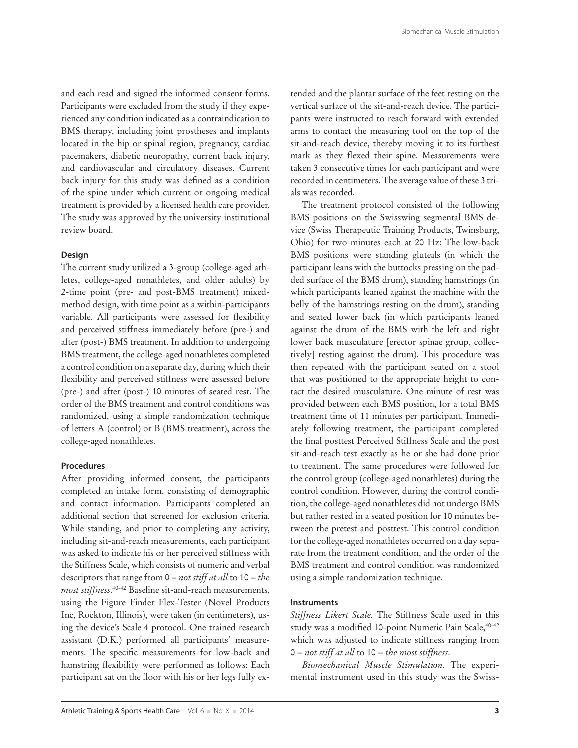and each read and signed the informed consent forms. Participants were excluded from the study if they experienced any condition indicated as a contraindication to BMS therapy, including joint prostheses and implants located in the hip or spinal region, pregnancy, cardiac pacemakers, diabetic neuropathy, current back injury, and cardiovascular and circulatory diseases. Current back injury for this study was defined as a condition of the spine under which current or ongoing medical treatment is provided by a licensed health care provider. The study was approved by the university institutional review board.

## **Design**

The current study utilized a 3-group (college-aged athletes, college-aged nonathletes, and older adults) by 2-time point (pre- and post-BMS treatment) mixedmethod design, with time point as a within-participants variable. All participants were assessed for flexibility and perceived stiffness immediately before (pre-) and after (post-) BMS treatment. In addition to undergoing BMS treatment, the college-aged nonathletes completed a control condition on a separate day, during which their flexibility and perceived stiffness were assessed before (pre-) and after (post-) 10 minutes of seated rest. The order of the BMS treatment and control conditions was randomized, using a simple randomization technique of letters A (control) or B (BMS treatment), across the college-aged nonathletes.

### **Procedures**

After providing informed consent, the participants completed an intake form, consisting of demographic and contact information. Participants completed an additional section that screened for exclusion criteria. While standing, and prior to completing any activity, including sit-and-reach measurements, each participant was asked to indicate his or her perceived stiffness with the Stiffness Scale, which consists of numeric and verbal descriptors that range from 0 = *not stiff at all* to 10 = *the most stiffness*. 40-42 Baseline sit-and-reach measurements, using the Figure Finder Flex-Tester (Novel Products Inc, Rockton, Illinois), were taken (in centimeters), using the device's Scale 4 protocol. One trained research assistant (D.K.) performed all participants' measurements. The specific measurements for low-back and hamstring flexibility were performed as follows: Each participant sat on the floor with his or her legs fully extended and the plantar surface of the feet resting on the vertical surface of the sit-and-reach device. The participants were instructed to reach forward with extended arms to contact the measuring tool on the top of the sit-and-reach device, thereby moving it to its furthest mark as they flexed their spine. Measurements were taken 3 consecutive times for each participant and were recorded in centimeters. The average value of these 3 trials was recorded.

The treatment protocol consisted of the following BMS positions on the Swisswing segmental BMS device (Swiss Therapeutic Training Products, Twinsburg, Ohio) for two minutes each at 20 Hz: The low-back BMS positions were standing gluteals (in which the participant leans with the buttocks pressing on the padded surface of the BMS drum), standing hamstrings (in which participants leaned against the machine with the belly of the hamstrings resting on the drum), standing and seated lower back (in which participants leaned against the drum of the BMS with the left and right lower back musculature [erector spinae group, collectively] resting against the drum). This procedure was then repeated with the participant seated on a stool that was positioned to the appropriate height to contact the desired musculature. One minute of rest was provided between each BMS position, for a total BMS treatment time of 11 minutes per participant. Immediately following treatment, the participant completed the final posttest Perceived Stiffness Scale and the post sit-and-reach test exactly as he or she had done prior to treatment. The same procedures were followed for the control group (college-aged nonathletes) during the control condition. However, during the control condition, the college-aged nonathletes did not undergo BMS but rather rested in a seated position for 10 minutes between the pretest and posttest. This control condition for the college-aged nonathletes occurred on a day separate from the treatment condition, and the order of the BMS treatment and control condition was randomized using a simple randomization technique.

#### **Instruments**

*Stiffness Likert Scale.* The Stiffness Scale used in this study was a modified 10-point Numeric Pain Scale, <sup>40-42</sup> which was adjusted to indicate stiffness ranging from 0 = *not stiff at all* to 10 = *the most stiffness*.

*Biomechanical Muscle Stimulation.* The experimental instrument used in this study was the Swiss-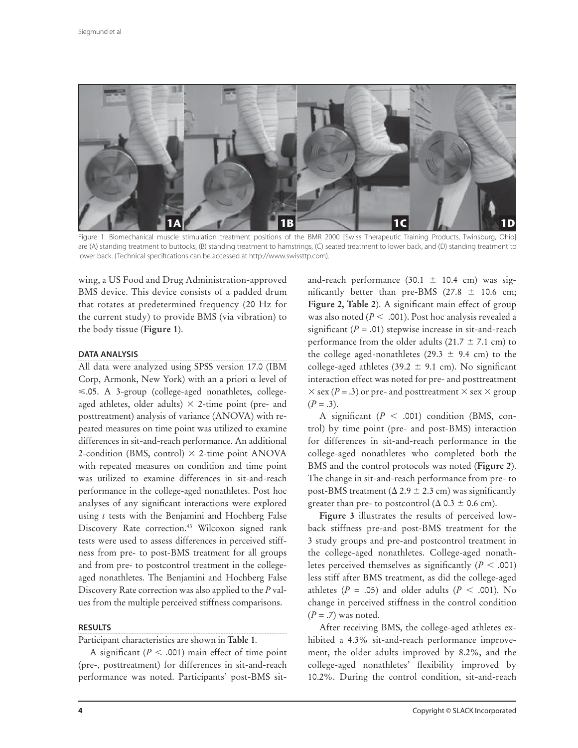

Figure 1. Biomechanical muscle stimulation treatment positions of the BMR 2000 [Swiss Therapeutic Training Products, Twinsburg, Ohio] are (A) standing treatment to buttocks, (B) standing treatment to hamstrings, (C) seated treatment to lower back, and (D) standing treatment to lower back. (Technical specifications can be accessed at http://www.swissttp.com).

wing, a US Food and Drug Administration-approved BMS device. This device consists of a padded drum that rotates at predetermined frequency (20 Hz for the current study) to provide BMS (via vibration) to the body tissue (**Figure 1**).

#### **DATA ANALYSIS**

All data were analyzed using SPSS version 17.0 (IBM Corp, Armonk, New York) with an a priori  $\alpha$  level of  $\leq$ .05. A 3-group (college-aged nonathletes, collegeaged athletes, older adults)  $\times$  2-time point (pre- and posttreatment) analysis of variance (ANOVA) with repeated measures on time point was utilized to examine differences in sit-and-reach performance. An additional 2-condition (BMS, control)  $\times$  2-time point ANOVA with repeated measures on condition and time point was utilized to examine differences in sit-and-reach performance in the college-aged nonathletes. Post hoc analyses of any significant interactions were explored using *t* tests with the Benjamini and Hochberg False Discovery Rate correction.<sup>43</sup> Wilcoxon signed rank tests were used to assess differences in perceived stiffness from pre- to post-BMS treatment for all groups and from pre- to postcontrol treatment in the collegeaged nonathletes. The Benjamini and Hochberg False Discovery Rate correction was also applied to the *P* values from the multiple perceived stiffness comparisons.

#### **RESULTS**

Participant characteristics are shown in **Table 1**.

A significant ( $P < .001$ ) main effect of time point (pre-, posttreatment) for differences in sit-and-reach performance was noted. Participants' post-BMS sitand-reach performance (30.1  $\pm$  10.4 cm) was significantly better than pre-BMS (27.8  $\pm$  10.6 cm; Figure 2, Table 2). A significant main effect of group was also noted ( $P$  < .001). Post hoc analysis revealed a significant  $(P = .01)$  stepwise increase in sit-and-reach performance from the older adults (21.7  $\pm$  7.1 cm) to the college aged-nonathletes (29.3  $\pm$  9.4 cm) to the college-aged athletes (39.2  $\pm$  9.1 cm). No significant interaction effect was noted for pre- and posttreatment  $\times$  sex (*P* = .3) or pre- and posttreatment  $\times$  sex  $\times$  group  $(P=.3)$ .

A significant  $(P < .001)$  condition (BMS, control) by time point (pre- and post-BMS) interaction for differences in sit-and-reach performance in the college-aged nonathletes who completed both the BMS and the control protocols was noted (**Figure 2**). The change in sit-and-reach performance from pre- to post-BMS treatment ( $\Delta$  2.9  $\pm$  2.3 cm) was significantly greater than pre- to postcontrol ( $\Delta$  0.3  $\pm$  0.6 cm).

**Figure 3** illustrates the results of perceived lowback stiffness pre-and post-BMS treatment for the 3 study groups and pre-and postcontrol treatment in the college-aged nonathletes. College-aged nonathletes perceived themselves as significantly  $(P < .001)$ less stiff after BMS treatment, as did the college-aged athletes ( $P = .05$ ) and older adults ( $P < .001$ ). No change in perceived stiffness in the control condition (*P* = .7) was noted.

After receiving BMS, the college-aged athletes exhibited a 4.3% sit-and-reach performance improvement, the older adults improved by 8.2%, and the college-aged nonathletes' flexibility improved by 10.2%. During the control condition, sit-and-reach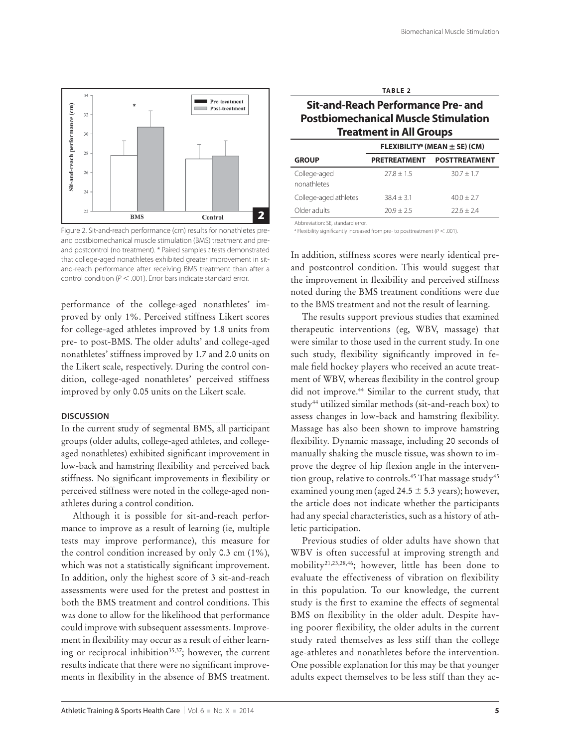

Figure 2. Sit-and-reach performance (cm) results for nonathletes preand postbiomechanical muscle stimulation (BMS) treatment and preand postcontrol (no treatment). \* Paired samples t tests demonstrated that college-aged nonathletes exhibited greater improvement in sitand-reach performance after receiving BMS treatment than after a control condition ( $P < .001$ ). Error bars indicate standard error.

performance of the college-aged nonathletes' improved by only 1%. Perceived stiffness Likert scores for college-aged athletes improved by 1.8 units from pre- to post-BMS. The older adults' and college-aged nonathletes' stiffness improved by 1.7 and 2.0 units on the Likert scale, respectively. During the control condition, college-aged nonathletes' perceived stiffness improved by only 0.05 units on the Likert scale.

#### **DISCUSSION**

In the current study of segmental BMS, all participant groups (older adults, college-aged athletes, and collegeaged nonathletes) exhibited significant improvement in low-back and hamstring flexibility and perceived back stiffness. No significant improvements in flexibility or perceived stiffness were noted in the college-aged nonathletes during a control condition.

Although it is possible for sit-and-reach performance to improve as a result of learning (ie, multiple tests may improve performance), this measure for the control condition increased by only 0.3 cm (1%), which was not a statistically significant improvement. In addition, only the highest score of 3 sit-and-reach assessments were used for the pretest and posttest in both the BMS treatment and control conditions. This was done to allow for the likelihood that performance could improve with subsequent assessments. Improvement in flexibility may occur as a result of either learning or reciprocal inhibition<sup>35,37</sup>; however, the current results indicate that there were no significant improvements in flexibility in the absence of BMS treatment.

| v.<br>۰. |  |
|----------|--|

# **Sit-and-Reach Performance Pre- and Postbiomechanical Muscle Stimulation Treatment in All Groups**

|                             | FLEXIBILITY <sup>a</sup> (MEAN $\pm$ SE) (CM) |                      |  |  |
|-----------------------------|-----------------------------------------------|----------------------|--|--|
| <b>GROUP</b>                | <b>PRETREATMENT</b>                           | <b>POSTTREATMENT</b> |  |  |
| College-aged<br>nonathletes | $77.8 + 1.5$                                  | $30.7 + 1.7$         |  |  |
| College-aged athletes       | $384 + 3.1$                                   | $40.0 + 2.7$         |  |  |
| Older adults                | $70.9 + 2.5$                                  | $22.6 + 2.4$         |  |  |

Abbreviation: SE, standard error.

<sup>a</sup> Flexibility significantly increased from pre- to posttreatment ( $P < .001$ ).

In addition, stiffness scores were nearly identical preand postcontrol condition. This would suggest that the improvement in flexibility and perceived stiffness noted during the BMS treatment conditions were due to the BMS treatment and not the result of learning.

The results support previous studies that examined therapeutic interventions (eg, WBV, massage) that were similar to those used in the current study. In one such study, flexibility significantly improved in female field hockey players who received an acute treatment of WBV, whereas flexibility in the control group did not improve.44 Similar to the current study, that study44 utilized similar methods (sit-and-reach box) to assess changes in low-back and hamstring flexibility. Massage has also been shown to improve hamstring flexibility. Dynamic massage, including 20 seconds of manually shaking the muscle tissue, was shown to improve the degree of hip flexion angle in the intervention group, relative to controls.<sup>45</sup> That massage study<sup>45</sup> examined young men (aged 24.5  $\pm$  5.3 years); however, the article does not indicate whether the participants had any special characteristics, such as a history of athletic participation.

Previous studies of older adults have shown that WBV is often successful at improving strength and mobility21,23,28,46; however, little has been done to evaluate the effectiveness of vibration on flexibility in this population. To our knowledge, the current study is the first to examine the effects of segmental BMS on flexibility in the older adult. Despite having poorer flexibility, the older adults in the current study rated themselves as less stiff than the college age-athletes and nonathletes before the intervention. One possible explanation for this may be that younger adults expect themselves to be less stiff than they ac-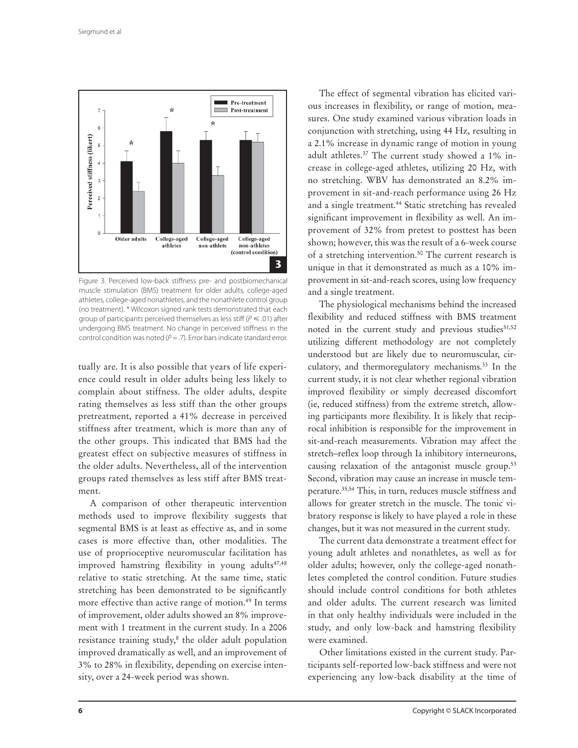

Figure 3. Perceived low-back stiffness pre- and postbiomechanical muscle stimulation (BMS) treatment for older adults, college-aged athletes, college-aged nonathletes, and the nonathlete control group (no treatment). \* Wilcoxon signed rank tests demonstrated that each group of participants perceived themselves as less stiff ( $P \leq .01$ ) after undergoing BMS treatment. No change in perceived stiffness in the control condition was noted ( $P = .7$ ). Error bars indicate standard error.

tually are. It is also possible that years of life experience could result in older adults being less likely to complain about stiffness. The older adults, despite rating themselves as less stiff than the other groups pretreatment, reported a 41% decrease in perceived stiffness after treatment, which is more than any of the other groups. This indicated that BMS had the greatest effect on subjective measures of stiffness in the older adults. Nevertheless, all of the intervention groups rated themselves as less stiff after BMS treatment.

A comparison of other therapeutic intervention methods used to improve flexibility suggests that segmental BMS is at least as effective as, and in some cases is more effective than, other modalities. The use of proprioceptive neuromuscular facilitation has improved hamstring flexibility in young adults<sup>47,48</sup> relative to static stretching. At the same time, static stretching has been demonstrated to be significantly more effective than active range of motion.49 In terms of improvement, older adults showed an 8% improvement with 1 treatment in the current study. In a 2006 resistance training study,<sup>8</sup> the older adult population improved dramatically as well, and an improvement of 3% to 28% in flexibility, depending on exercise intensity, over a 24-week period was shown.

The effect of segmental vibration has elicited various increases in flexibility, or range of motion, measures. One study examined various vibration loads in conjunction with stretching, using 44 Hz, resulting in a 2.1% increase in dynamic range of motion in young adult athletes.37 The current study showed a 1% increase in college-aged athletes, utilizing 20 Hz, with no stretching. WBV has demonstrated an 8.2% improvement in sit-and-reach performance using 26 Hz and a single treatment.<sup>44</sup> Static stretching has revealed significant improvement in flexibility as well. An improvement of 32% from pretest to posttest has been shown; however, this was the result of a 6-week course of a stretching intervention.<sup>50</sup> The current research is unique in that it demonstrated as much as a 10% improvement in sit-and-reach scores, using low frequency and a single treatment.

The physiological mechanisms behind the increased flexibility and reduced stiffness with BMS treatment noted in the current study and previous studies<sup>51,52</sup> utilizing different methodology are not completely understood but are likely due to neuromuscular, circulatory, and thermoregulatory mechanisms.<sup>33</sup> In the current study, it is not clear whether regional vibration improved flexibility or simply decreased discomfort (ie, reduced stiffness) from the extreme stretch, allowing participants more flexibility. It is likely that reciprocal inhibition is responsible for the improvement in sit-and-reach measurements. Vibration may affect the stretch–reflex loop through Ia inhibitory interneurons, causing relaxation of the antagonist muscle group.<sup>53</sup> Second, vibration may cause an increase in muscle temperature.35,54 This, in turn, reduces muscle stiffness and allows for greater stretch in the muscle. The tonic vibratory response is likely to have played a role in these changes, but it was not measured in the current study.

The current data demonstrate a treatment effect for young adult athletes and nonathletes, as well as for older adults; however, only the college-aged nonathletes completed the control condition. Future studies should include control conditions for both athletes and older adults. The current research was limited in that only healthy individuals were included in the study, and only low-back and hamstring flexibility were examined.

Other limitations existed in the current study. Participants self-reported low-back stiffness and were not experiencing any low-back disability at the time of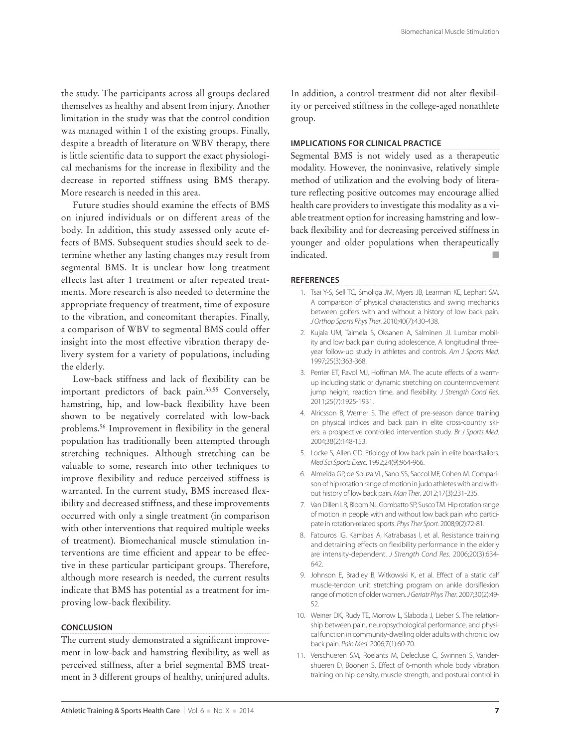the study. The participants across all groups declared themselves as healthy and absent from injury. Another limitation in the study was that the control condition was managed within 1 of the existing groups. Finally, despite a breadth of literature on WBV therapy, there is little scientific data to support the exact physiological mechanisms for the increase in flexibility and the decrease in reported stiffness using BMS therapy. More research is needed in this area.

Future studies should examine the effects of BMS on injured individuals or on different areas of the body. In addition, this study assessed only acute effects of BMS. Subsequent studies should seek to determine whether any lasting changes may result from segmental BMS. It is unclear how long treatment effects last after 1 treatment or after repeated treatments. More research is also needed to determine the appropriate frequency of treatment, time of exposure to the vibration, and concomitant therapies. Finally, a comparison of WBV to segmental BMS could offer insight into the most effective vibration therapy delivery system for a variety of populations, including the elderly.

Low-back stiffness and lack of flexibility can be important predictors of back pain.53,55 Conversely, hamstring, hip, and low-back flexibility have been shown to be negatively correlated with low-back problems.<sup>56</sup> Improvement in flexibility in the general population has traditionally been attempted through stretching techniques. Although stretching can be valuable to some, research into other techniques to improve flexibility and reduce perceived stiffness is warranted. In the current study, BMS increased flexibility and decreased stiffness, and these improvements occurred with only a single treatment (in comparison with other interventions that required multiple weeks of treatment). Biomechanical muscle stimulation interventions are time efficient and appear to be effective in these particular participant groups. Therefore, although more research is needed, the current results indicate that BMS has potential as a treatment for improving low-back flexibility.

#### **CONCLUSION**

The current study demonstrated a significant improvement in low-back and hamstring flexibility, as well as perceived stiffness, after a brief segmental BMS treatment in 3 different groups of healthy, uninjured adults.

In addition, a control treatment did not alter flexibility or perceived stiffness in the college-aged nonathlete group.

#### **IMPLICATIONS FOR CLINICAL PRACTICE**

Segmental BMS is not widely used as a therapeutic modality. However, the noninvasive, relatively simple method of utilization and the evolving body of literature reflecting positive outcomes may encourage allied health care providers to investigate this modality as a viable treatment option for increasing hamstring and lowback flexibility and for decreasing perceived stiffness in younger and older populations when therapeutically indicated.■

#### **REFERENCES**

- 1. Tsai Y-S, Sell TC, Smoliga JM, Myers JB, Learman KE, Lephart SM. A comparison of physical characteristics and swing mechanics between golfers with and without a history of low back pain. J Orthop Sports Phys Ther. 2010;40(7):430-438.
- 2. Kujala UM, Taimela S, Oksanen A, Salminen JJ. Lumbar mobility and low back pain during adolescence. A longitudinal threeyear follow-up study in athletes and controls. Am J Sports Med. 1997;25(3):363-368.
- 3. Perrier ET, Pavol MJ, Hoffman MA. The acute effects of a warmup including static or dynamic stretching on countermovement jump height, reaction time, and flexibility. J Strength Cond Res. 2011;25(7):1925-1931.
- 4. Alricsson B, Werner S. The effect of pre-season dance training on physical indices and back pain in elite cross-country skiers: a prospective controlled intervention study. Br J Sports Med. 2004;38(2):148-153.
- 5. Locke S, Allen GD. Etiology of low back pain in elite boardsailors. Med Sci Sports Exerc. 1992;24(9):964-966.
- 6. Almeida GP, de Souza VL, Sano SS, Saccol MF, Cohen M. Comparison of hip rotation range of motion in judo athletes with and without history of low back pain. Man Ther. 2012;17(3):231-235.
- 7. Van Dillen LR, Bloom NJ, Gombatto SP, Susco TM. Hip rotation range of motion in people with and without low back pain who participate in rotation-related sports. Phys Ther Sport. 2008;9(2):72-81.
- 8. Fatouros IG, Kambas A, Katrabasas I, et al. Resistance training and detraining effects on flexibility performance in the elderly are intensity-dependent. J Strength Cond Res. 2006;20(3):634- 642.
- 9. Johnson E, Bradley B, Witkowski K, et al. Effect of a static calf muscle-tendon unit stretching program on ankle dorsiflexion range of motion of older women. J Geriatr Phys Ther. 2007;30(2):49- 52.
- 10. Weiner DK, Rudy TE, Morrow L, Slaboda J, Lieber S. The relationship between pain, neuropsychological performance, and physical function in community-dwelling older adults with chronic low back pain. Pain Med. 2006;7(1):60-70.
- 11. Verschueren SM, Roelants M, Delecluse C, Swinnen S, Vandershueren D, Boonen S. Effect of 6-month whole body vibration training on hip density, muscle strength, and postural control in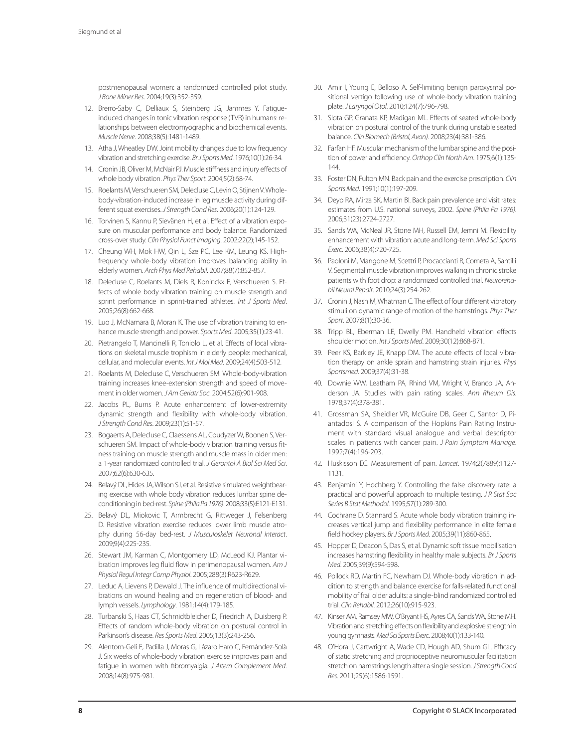postmenopausal women: a randomized controlled pilot study. J Bone Miner Res. 2004;19(3):352-359.

- 12. Brerro-Saby C, Delliaux S, Steinberg JG, Jammes Y. Fatigueinduced changes in tonic vibration response (TVR) in humans: relationships between electromyographic and biochemical events. Muscle Nerve. 2008;38(5):1481-1489.
- 13. Atha J, Wheatley DW. Joint mobility changes due to low frequency vibration and stretching exercise. Br J Sports Med. 1976;10(1):26-34.
- 14. Cronin JB, Oliver M, McNair PJ. Muscle stiffness and injury effects of whole body vibration. Phys Ther Sport. 2004;5(2):68-74.
- 15. Roelants M, Verschueren SM, Delecluse C, Levin O, Stijnen V. Wholebody-vibration-induced increase in leg muscle activity during different squat exercises. J Strength Cond Res. 2006;20(1):124-129.
- 16. Torvinen S, Kannu P, Sievänen H, et al. Effect of a vibration exposure on muscular performance and body balance. Randomized cross-over study. Clin Physiol Funct Imaging. 2002;22(2);145-152.
- 17. Cheung WH, Mok HW, Qin L, Sze PC, Lee KM, Leung KS. Highfrequency whole-body vibration improves balancing ability in elderly women. Arch Phys Med Rehabil. 2007;88(7):852-857.
- 18. Delecluse C, Roelants M, Diels R, Koninckx E, Verschueren S. Effects of whole body vibration training on muscle strength and sprint performance in sprint-trained athletes. Int J Sports Med. 2005;26(8):662-668.
- 19. Luo J, McNamara B, Moran K. The use of vibration training to enhance muscle strength and power. Sports Med. 2005;35(1):23-41.
- 20. Pietrangelo T, Mancinelli R, Toniolo L, et al. Effects of local vibrations on skeletal muscle trophism in elderly people: mechanical, cellular, and molecular events. Int J Mol Med. 2009;24(4):503-512.
- 21. Roelants M, Delecluse C, Verschueren SM. Whole-body-vibration training increases knee-extension strength and speed of movement in older women. J Am Geriatr Soc. 2004;52(6):901-908.
- 22. Jacobs PL, Burns P. Acute enhancement of lower-extremity dynamic strength and flexibility with whole-body vibration. J Strength Cond Res. 2009;23(1):51-57.
- 23. Bogaerts A, Delecluse C, Claessens AL, Coudyzer W, Boonen S, Verschueren SM. Impact of whole-body vibration training versus fitness training on muscle strength and muscle mass in older men: a 1-year randomized controlled trial. J Gerontol A Biol Sci Med Sci. 2007;62(6):630-635.
- 24. Belavý DL, Hides JA, Wilson SJ, et al. Resistive simulated weightbearing exercise with whole body vibration reduces lumbar spine deconditioning in bed-rest. Spine (Phila Pa 1976). 2008;33(5):E121-E131.
- 25. Belavý DL, Miokovic T, Armbrecht G, Rittweger J, Felsenberg D. Resistive vibration exercise reduces lower limb muscle atrophy during 56-day bed-rest. J Musculoskelet Neuronal Interact. 2009;9(4):225-235.
- 26. Stewart JM, Karman C, Montgomery LD, McLeod KJ. Plantar vibration improves leg fluid flow in perimenopausal women. Am J Physiol Regul Integr Comp Physiol. 2005;288(3):R623-R629.
- 27. Leduc A, Lievens P, Dewald J. The influence of multidirectional vibrations on wound healing and on regeneration of blood- and lymph vessels. Lymphology. 1981;14(4):179-185.
- 28. Turbanski S, Haas CT, Schmidtbleicher D, Friedrich A, Duisberg P. Effects of random whole-body vibration on postural control in Parkinson's disease. Res Sports Med. 2005;13(3):243-256.
- 29. Alentorn-Geli E, Padilla J, Moras G, Lázaro Haro C, Fernández-Solà J. Six weeks of whole-body vibration exercise improves pain and fatigue in women with fibromyalgia. J Altern Complement Med. 2008;14(8):975-981.
- 30. Amir I, Young E, Belloso A. Self-limiting benign paroxysmal positional vertigo following use of whole-body vibration training plate. J Laryngol Otol. 2010;124(7):796-798.
- 31. Slota GP, Granata KP, Madigan ML. Effects of seated whole-body vibration on postural control of the trunk during unstable seated balance. Clin Biomech (Bristol, Avon). 2008;23(4):381-386.
- 32. Farfan HF. Muscular mechanism of the lumbar spine and the position of power and efficiency. Orthop Clin North Am. 1975;6(1):135-144.
- 33. Foster DN, Fulton MN. Back pain and the exercise prescription. Clin Sports Med. 1991;10(1):197-209.
- 34. Deyo RA, Mirza SK, Martin BI. Back pain prevalence and visit rates: estimates from U.S. national surveys, 2002. Spine (Phila Pa 1976). 2006;31(23):2724-2727.
- 35. Sands WA, McNeal JR, Stone MH, Russell EM, Jemni M. Flexibility enhancement with vibration: acute and long-term. Med Sci Sports Exerc. 2006;38(4):720-725.
- 36. Paoloni M, Mangone M, Scettri P, Procaccianti R, Cometa A, Santilli V. Segmental muscle vibration improves walking in chronic stroke patients with foot drop: a randomized controlled trial. Neurorehabil Neural Repair. 2010;24(3):254-262.
- 37. Cronin J, Nash M, Whatman C. The effect of four different vibratory stimuli on dynamic range of motion of the hamstrings. Phys Ther Sport. 2007;8(1):30-36.
- 38. Tripp BL, Eberman LE, Dwelly PM. Handheld vibration effects shoulder motion. Int J Sports Med. 2009;30(12):868-871.
- 39. Peer KS, Barkley JE, Knapp DM. The acute effects of local vibration therapy on ankle sprain and hamstring strain injuries. Phys Sportsmed. 2009;37(4):31-38.
- 40. Downie WW, Leatham PA, Rhind VM, Wright V, Branco JA, Anderson JA. Studies with pain rating scales. Ann Rheum Dis. 1978;37(4):378-381.
- 41. Grossman SA, Sheidler VR, McGuire DB, Geer C, Santor D, Piantadosi S. A comparison of the Hopkins Pain Rating Instrument with standard visual analogue and verbal descriptor scales in patients with cancer pain. J Pain Symptom Manage. 1992;7(4):196-203.
- 42. Huskisson EC. Measurement of pain. Lancet. 1974;2(7889):1127- 1131.
- 43. Benjamini Y, Hochberg Y. Controlling the false discovery rate: a practical and powerful approach to multiple testing. J R Stat Soc Series B Stat Methodol. 1995;57(1):289-300.
- 44. Cochrane D, Stannard S. Acute whole body vibration training increases vertical jump and flexibility performance in elite female field hockey players. Br J Sports Med. 2005;39(11):860-865.
- 45. Hopper D, Deacon S, Das S, et al. Dynamic soft tissue mobilisation increases hamstring flexibility in healthy male subjects. Br J Sports Med. 2005;39(9):594-598.
- 46. Pollock RD, Martin FC, Newham DJ. Whole-body vibration in addition to strength and balance exercise for falls-related functional mobility of frail older adults: a single-blind randomized controlled trial. Clin Rehabil. 2012;26(10):915-923.
- 47. Kinser AM, Ramsey MW, O'Bryant HS, Ayres CA, Sands WA, Stone MH. Vibration and stretching effects on flexibility and explosive strength in young gymnasts. Med Sci Sports Exerc. 2008;40(1):133-140.
- 48. O'Hora J, Cartwright A, Wade CD, Hough AD, Shum GL. Efficacy of static stretching and proprioceptive neuromuscular facilitation stretch on hamstrings length after a single session. J Strength Cond Res. 2011;25(6):1586-1591.